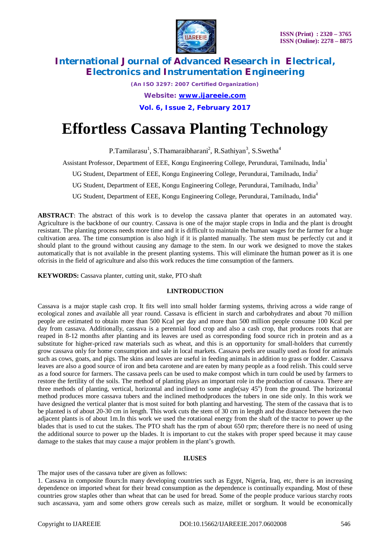

*(An ISO 3297: 2007 Certified Organization) Website: [www.ijareeie.com](http://www.ijareeie.com)* **Vol. 6, Issue 2, February 2017**

# **Effortless Cassava Planting Technology**

P.Tamilarasu<sup>1</sup>, S.Thamaraibharani<sup>2</sup>, R.Sathiyan<sup>3</sup>, S.Swetha<sup>4</sup>

Assistant Professor, Department of EEE, Kongu Engineering College, Perundurai, Tamilnadu, India<sup>1</sup>

UG Student, Department of EEE, Kongu Engineering College, Perundurai, Tamilnadu, India<sup>2</sup>

UG Student, Department of EEE, Kongu Engineering College, Perundurai, Tamilnadu, India<sup>3</sup>

UG Student, Department of EEE, Kongu Engineering College, Perundurai, Tamilnadu, India<sup>4</sup>

**ABSTRACT**: The abstract of this work is to develop the cassava planter that operates in an automated way. Agriculture is the backbone of our country. Cassava is one of the major staple crops in India and the plant is drought resistant. The planting process needs more time and it is difficult to maintain the human wages for the farmer for a huge cultivation area. The time consumption is also high if it is planted manually. The stem must be perfectly cut and it should plant to the ground without causing any damage to the stem. In our work we designed to move the stakes automatically that is not available in the present planting systems. This will eliminate the human power as it is one ofcrisis in the field of agriculture and also this work reduces the time consumption of the farmers.

**KEYWORDS:** Cassava planter, cutting unit, stake, PTO shaft

# **I.INTRODUCTION**

Cassava is a major staple cash crop. It fits well into small holder farming systems, thriving across a wide range of ecological zones and available all year round. Cassava is efficient in starch and carbohydrates and about 70 million people are estimated to obtain more than 500 Kcal per day and more than 500 million people consume 100 Kcal per day from cassava. Additionally, cassava is a perennial food crop and also a cash crop, that produces roots that are reaped in 8-12 months after planting and its leaves are used as corresponding food source rich in protein and as a substitute for higher-priced raw materials such as wheat, and this is an opportunity for small-holders that currently grow cassava only for home consumption and sale in local markets. Cassava peels are usually used as food for animals such as cows, goats, and pigs. The skins and leaves are useful in feeding animals in addition to grass or fodder. Cassava leaves are also a good source of iron and beta carotene and are eaten by many people as a food relish. This could serve as a food source for farmers. The cassava peels can be used to make compost which in turn could be used by farmers to restore the fertility of the soils. The method of planting plays an important role in the production of cassava. There are three methods of planting, vertical, horizontal and inclined to some angle(say 45°) from the ground. The horizontal method produces more cassava tubers and the inclined methodproduces the tubers in one side only. In this work we have designed the vertical planter that is most suited for both planting and harvesting. The stem of the cassava that is to be planted is of about 20-30 cm in length. This work cuts the stem of 30 cm in length and the distance between the two adjacent plants is of about 1m.In this work we used the rotational energy from the shaft of the tractor to power up the blades that is used to cut the stakes. The PTO shaft has the rpm of about 650 rpm; therefore there is no need of using the additional source to power up the blades. It is important to cut the stakes with proper speed because it may cause damage to the stakes that may cause a major problem in the plant's growth.

### **II.USES**

The major uses of the cassava tuber are given as follows:

1. Cassava in composite flours:In many developing countries such as Egypt, Nigeria, Iraq, etc, there is an increasing dependence on imported wheat for their bread consumption as the dependence is continually expanding. Most of these countries grow staples other than wheat that can be used for bread. Some of the people produce various starchy roots such ascassava, yam and some others grow cereals such as maize, millet or sorghum. It would be economically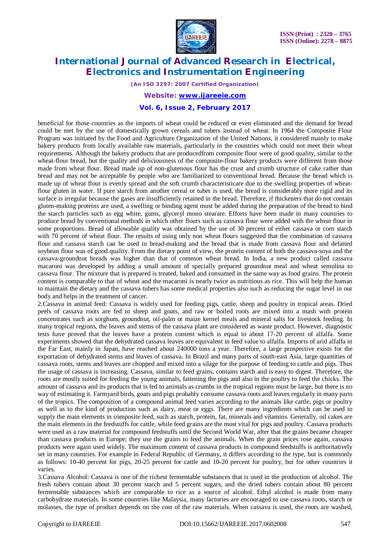

*(An ISO 3297: 2007 Certified Organization)*

*Website: [www.ijareeie.com](http://www.ijareeie.com)*

### **Vol. 6, Issue 2, February 2017**

beneficial for those countries as the imports of wheat could be reduced or even eliminated and the demand for bread could be met by the use of domestically grown cereals and tubers instead of wheat. In 1964 the Composite Flour Program was initiated by the Food and Agriculture Organization of the United Nations, it considered mainly to make bakery products from locally available raw materials, particularly in the countries which could not meet their wheat requirements. Although the bakery products that are producedfrom composite flour were of good quality, similar to the wheat-flour bread, but the quality and deliciousness of the composite-flour bakery products were different from those made from wheat flour. Bread made up of non-glutenous flour has the crust and crumb structure of cake rather than bread and may not be acceptable by people who are familiarized to conventional bread. Because the bread which is made up of wheat flour is evenly spread and the soft crumb characteristicare due to the swelling properties of wheatflour gluten in water. If pure starch from another cereal or tuber is used, the bread is considerably more rigid and its surface is irregular because the gases are insufficiently retained in the bread. Therefore, if thickeners that do not contain gluten-making proteins are used, a swelling or binding agent must be added during the preparation of the bread to bind the starch particles such as egg white, gums, glyceryl mono stearate. Efforts have been made in many countries to produce bread by conventional methods in which other flours such as cassava flour were added with the wheat flour in some proportions. Bread of allowable quality was obtained by the use of 30 percent of either cassava or corn starch with 70 percent of wheat flour. The results of using only non wheat flours suggested that the combination of cassava flour and cassava starch can be used in bread-making and the bread that is made from cassava flour and defatted soybean flour was of good quality. From the dietary point of view, the protein content of both the cassava-soya and the cassava-groundnut breads was higher than that of common wheat bread. In India, a new product called cassava macaroni was developed by adding a small amount of specially prepared groundnut meal and wheat semolina to cassava flour. The mixture that is prepared is treated, baked and consumed in the same way as food grains. The protein content is comparable to that of wheat and the macaroni is nearly twice as nutritious as rice. This will help the human to maintain the dietary and the cassava tubers has some medical properties also such as reducing the sugar level in our body and helps in the treatment of cancer.

2.Cassava in animal feed: Cassava is widely used for feeding pigs, cattle, sheep and poultry in tropical areas. Dried peels of cassava roots are fed to sheep and goats, and raw or boiled roots are mixed into a mash with protein concentrates such as sorghum, groundnut, oil-palm or maize kernel meals and mineral salts for livestock feeding. In many tropical regions, the leaves and stems of the cassava plant are considered as waste product. However, diagnostic tests have proved that the leaves have a protein content which is equal to about 17-20 percent of alfalfa. Some experiments showed that the dehydrated cassava leaves are equivalent in feed value to alfalfa. Imports of arid alfalfa in the Far East, mainly in Japan, have reached about 240000 tons a year. Therefore, a large prospective exists for the exportation of dehydrated stems and leaves of cassava. In Brazil and many parts of south-east Asia, large quantities of cassava roots, stems and leaves are chopped and mixed into a silage for the purpose of feeding to cattle and pigs. Thus the usage of cassava is increasing. Cassava, similar to feed grains, contains starch and is easy to digest. Therefore, the roots are mostly suited for feeding the young animals, fattening the pigs and also in the poultry to feed the chicks. The amount of cassava and its products that is fed to animals as crumbs in the tropical regions must be large, but there is no way of estimating it. Farmyard birds, goats and pigs probably consume cassava roots and leaves regularly in many parts of the tropics. The composition of a compound animal feed varies according to the animals like cattle, pigs or poultry as well as to the kind of production such as dairy, meat or eggs. There are many ingredients which can be used to supply the main elements in composite feed, such as starch, protein, fat, minerals and vitamins. Generally, oil cakes are the main elements in the feedstuffs for cattle, while feed grains are the most vital for pigs and poultry. Cassava products were used as a raw material for compound feedstuffs until the Second World War, after that the grains became cheaper than cassava products in Europe; they use the grains to feed the animals. When the grain prices rose again, cassava products were again used widely. The maximum content of cassava products in compound feedstuffs is authoritatively set in many countries. For example in Federal Republic of Germany, it differs according to the type, but is commonly as follows: 10-40 percent for pigs, 20-25 percent for cattle and 10-20 percent for poultry, but for other countries it varies.

3.Cassava Alcohol: Cassava is one of the richest fermentable substances that is used in the production of alcohol. The fresh tubers contain about 30 percent starch and 5 percent sugars, and the dried tubers contain about 80 percent fermentable substances which are comparable to rice as a source of alcohol. Ethyl alcohol is made from many carbohydrate materials. In some countries like Malaysia, many factories are encouraged to use cassava roots, starch or molasses, the type of product depends on the cost of the raw materials. When cassava is used, the roots are washed,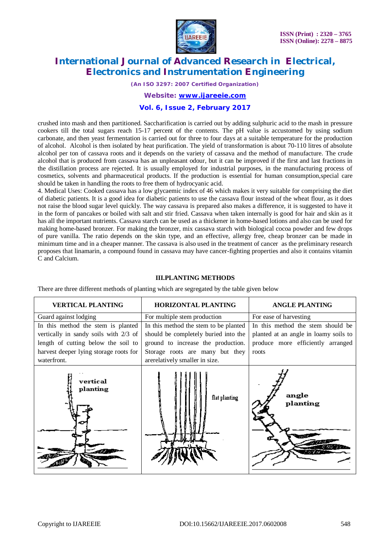

*(An ISO 3297: 2007 Certified Organization)*

*Website: [www.ijareeie.com](http://www.ijareeie.com)*

### **Vol. 6, Issue 2, February 2017**

crushed into mash and then partitioned. Saccharification is carried out by adding sulphuric acid to the mash in pressure cookers till the total sugars reach 15-17 percent of the contents. The pH value is accustomed by using sodium carbonate, and then yeast fermentation is carried out for three to four days at a suitable temperature for the production of alcohol. Alcohol is then isolated by heat purification. The yield of transformation is about 70-110 litres of absolute alcohol per ton of cassava roots and it depends on the variety of cassava and the method of manufacture. The crude alcohol that is produced from cassava has an unpleasant odour, but it can be improved if the first and last fractions in the distillation process are rejected. It is usually employed for industrial purposes, in the manufacturing process of cosmetics, solvents and pharmaceutical products. If the production is essential for human consumption,special care should be taken in handling the roots to free them of hydrocyanic acid.

4. Medical Uses: Cooked cassava has a low glycaemic index of 46 which makes it very suitable for comprising the diet of diabetic patients. It is a good idea for diabetic patients to use the cassava flour instead of the wheat flour, as it does not raise the blood sugar level quickly. The way cassava is prepared also makes a difference, it is suggested to have it in the form of pancakes or boiled with salt and stir fried. Cassava when taken internally is good for hair and skin as it has all the important nutrients. Cassava starch can be used as a thickener in home-based lotions and also can be used for making home-based bronzer. For making the bronzer, mix cassava starch with biological cocoa powder and few drops of pure vanilla. The ratio depends on the skin type, and an effective, allergy free, cheap bronzer can be made in minimum time and in a cheaper manner. The cassava is also used in the treatment of cancer as the preliminary research proposes that linamarin, a compound found in cassava may have cancer-fighting properties and also it contains vitamin C and Calcium.

### **III.PLANTING METHODS**

There are three different methods of planting which are segregated by the table given below

| <b>VERTICAL PLANTING</b>               | <b>HORIZONTAL PLANTING</b>            | <b>ANGLE PLANTING</b>                 |
|----------------------------------------|---------------------------------------|---------------------------------------|
| Guard against lodging                  | For multiple stem production          | For ease of harvesting                |
| In this method the stem is planted     | In this method the stem to be planted | In this method the stem should be     |
| vertically in sandy soils with 2/3 of  | should be completely buried into the  | planted at an angle in loamy soils to |
| length of cutting below the soil to    | ground to increase the production.    | produce more efficiently arranged     |
| harvest deeper lying storage roots for | Storage roots are many but they       | roots                                 |
| waterfront.                            | arerelatively smaller in size.        |                                       |
| vertical<br>planting                   | flat planting                         | angle<br>planting                     |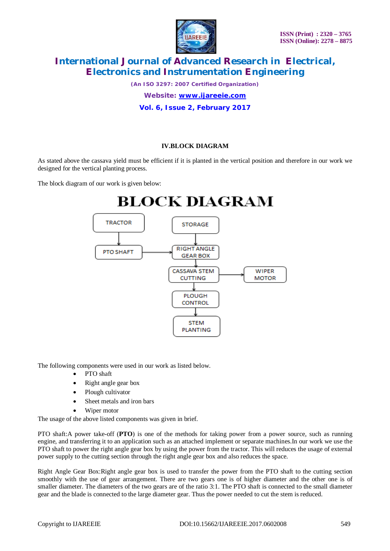

*(An ISO 3297: 2007 Certified Organization)*

*Website: [www.ijareeie.com](http://www.ijareeie.com)*

**Vol. 6, Issue 2, February 2017**

## **IV.BLOCK DIAGRAM**

As stated above the cassava yield must be efficient if it is planted in the vertical position and therefore in our work we designed for the vertical planting process.

The block diagram of our work is given below:



The following components were used in our work as listed below.

- PTO shaft
- Right angle gear box
- Plough cultivator
- Sheet metals and iron bars
- Wiper motor

The usage of the above listed components was given in brief.

PTO shaft:A power take-off (**PTO**) is one of the methods for taking power from a power source, such as running engine, and transferring it to an application such as an attached implement or separate machines.In our work we use the PTO shaft to power the right angle gear box by using the power from the tractor. This will reduces the usage of external power supply to the cutting section through the right angle gear box and also reduces the space.

Right Angle Gear Box:Right angle gear box is used to transfer the power from the PTO shaft to the cutting section smoothly with the use of gear arrangement. There are two gears one is of higher diameter and the other one is of smaller diameter. The diameters of the two gears are of the ratio 3:1. The PTO shaft is connected to the small diameter gear and the blade is connected to the large diameter gear. Thus the power needed to cut the stem is reduced.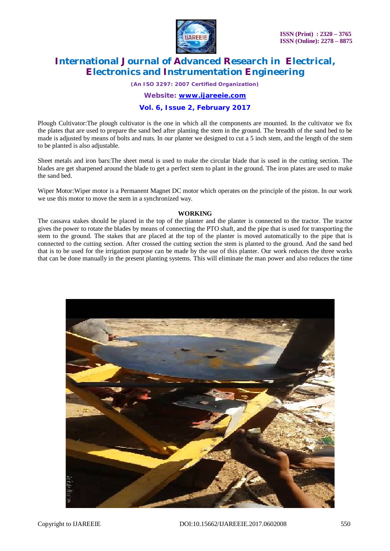

*(An ISO 3297: 2007 Certified Organization)*

*Website: [www.ijareeie.com](http://www.ijareeie.com)*

### **Vol. 6, Issue 2, February 2017**

Plough Cultivator:The plough cultivator is the one in which all the components are mounted. In the cultivator we fix the plates that are used to prepare the sand bed after planting the stem in the ground. The breadth of the sand bed to be made is adjusted by means of bolts and nuts. In our planter we designed to cut a 5 inch stem, and the length of the stem to be planted is also adjustable.

Sheet metals and iron bars:The sheet metal is used to make the circular blade that is used in the cutting section. The blades are get sharpened around the blade to get a perfect stem to plant in the ground. The iron plates are used to make the sand bed.

Wiper Motor:Wiper motor is a Permanent Magnet DC motor which operates on the principle of the piston. In our work we use this motor to move the stem in a synchronized way.

#### **WORKING**

The cassava stakes should be placed in the top of the planter and the planter is connected to the tractor. The tractor gives the power to rotate the blades by means of connecting the PTO shaft, and the pipe that is used for transporting the stem to the ground. The stakes that are placed at the top of the planter is moved automatically to the pipe that is connected to the cutting section. After crossed the cutting section the stem is planted to the ground. And the sand bed that is to be used for the irrigation purpose can be made by the use of this planter. Our work reduces the three works that can be done manually in the present planting systems. This will eliminate the man power and also reduces the time

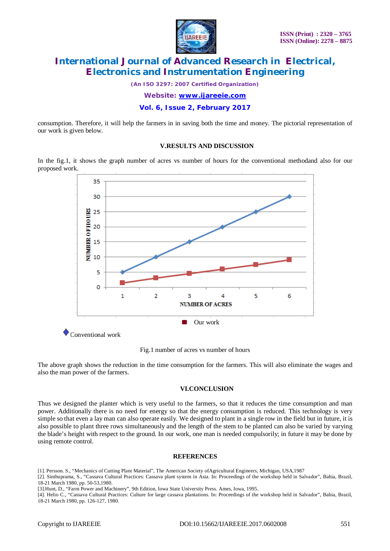

*(An ISO 3297: 2007 Certified Organization)*

*Website: [www.ijareeie.com](http://www.ijareeie.com)*

**Vol. 6, Issue 2, February 2017**

consumption. Therefore, it will help the farmers in in saving both the time and money. The pictorial representation of our work is given below.

### **V.RESULTS AND DISCUSSION**

In the fig.1, it shows the graph number of acres vs number of hours for the conventional methodand also for our proposed work.



Fig.1 number of acres vs number of hours

The above graph shows the reduction in the time consumption for the farmers. This will also eliminate the wages and also the man power of the farmers.

### **VI.CONCLUSION**

Thus we designed the planter which is very useful to the farmers, so that it reduces the time consumption and man power. Additionally there is no need for energy so that the energy consumption is reduced. This technology is very simple so that even a lay man can also operate easily. We designed to plant in a single row in the field but in future, it is also possible to plant three rows simultaneously and the length of the stem to be planted can also be varied by varying the blade's height with respect to the ground. In our work, one man is needed compulsorily; in future it may be done by using remote control.

#### **REFERENCES**

[1]. Persson. S., "Mechanics of Cutting Plant Material", The American Society ofAgricultural Engineers, Michigan, USA,1987

[2]. Sinthuprama, S., "Cassava Cultural Practices: Cassava plant system in Asia. In: Proceedings of the workshop held in Salvador", Bahia, Brazil, 18-21 March 1980, pp. 50-53,1980.

[3].Hunt, D., "Farm Power and Machinery", 9th Edition, Iowa State University Press. Ames, Iowa, 1995.

[4]. Helio C., "Cassava Cultural Practices: Culture for large cassava plantations. In: Proceedings of the workshop held in Salvador", Bahia, Brazil, 18-21 March 1980, pp. 126-127, 1980.